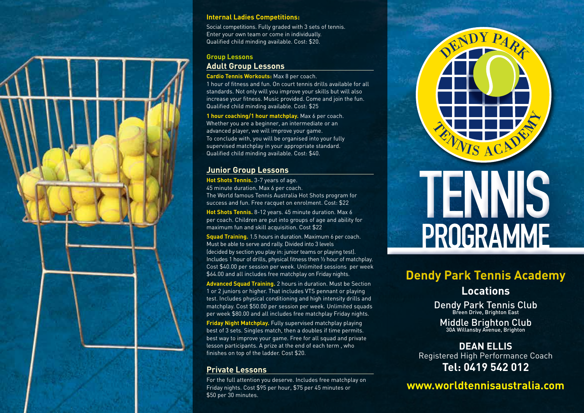

#### **Internal Ladies Competitions:**

Social competitions. Fully graded with 3 sets of tennis. Enter your own team or come in individually. Qualified child minding available. Cost: \$20.

#### **Group Lessons**

### **Adult Group Lessons**

**Cardio Tennis Workouts:** Max 8 per coach.

1 hour of fitness and fun. On court tennis drills available for all standards. Not only will you improve your skills but will also increase your fitness. Music provided. Come and join the fun. Qualified child minding available. Cost: \$25

**1 hour coaching/1 hour matchplay.** Max 6 per coach. Whether you are a beginner, an intermediate or an advanced player, we will improve your game. To conclude with, you will be organised into your fully supervised matchplay in your appropriate standard. Qualified child minding available. Cost: \$40.

#### **Junior Group Lessons**

**Hot Shots Tennis.** 3-7 years of age. 45 minute duration. Max 6 per coach. The World famous Tennis Australia Hot Shots program for success and fun. Free racquet on enrolment. Cost: \$22

**Hot Shots Tennis.** 8-12 years. 45 minute duration. Max 6 per coach. Children are put into groups of age and ability for maximum fun and skill acquisition. Cost \$22

**Squad Training.** 1.5 hours in duration. Maximum 6 per coach. Must be able to serve and rally. Divided into 3 levels (decided by section you play in: junior teams or playing test). Includes 1 hour of drills, physical fitness then ½ hour of matchplay. Cost \$40.00 per session per week. Unlimited sessions per week \$64.00 and all includes free matchplay on Friday nights.

**Advanced Squad Training.** 2 hours in duration. Must be Section 1 or 2 juniors or higher. That includes VTS pennant or playing test. Includes physical conditioning and high intensity drills and matchplay. Cost \$50.00 per session per week. Unlimited squads per week \$80.00 and all includes free matchplay Friday nights.

**Friday Night Matchplay.** Fully supervised matchplay playing best of 3 sets. Singles match, then a doubles if time permits. best way to improve your game. Free for all squad and private lesson participants. A prize at the end of each term , who finishes on top of the ladder. Cost \$20.

## **Private Lessons**

For the full attention you deserve. Includes free matchplay on Friday nights. Cost \$95 per hour, \$75 per 45 minutes or \$50 per 30 minutes.



# **Dendy Park Tennis Academy Locations**

Dendy Park Tennis Club<br>Breen Drive, Brighton East

Middle Brighton Club<br>30A Willansby Avenue, Brighton

**DEAN ELLIS** Registered High Performance Coach **Tel: 0419 542 012**

**www.worldtennisaustralia.com**